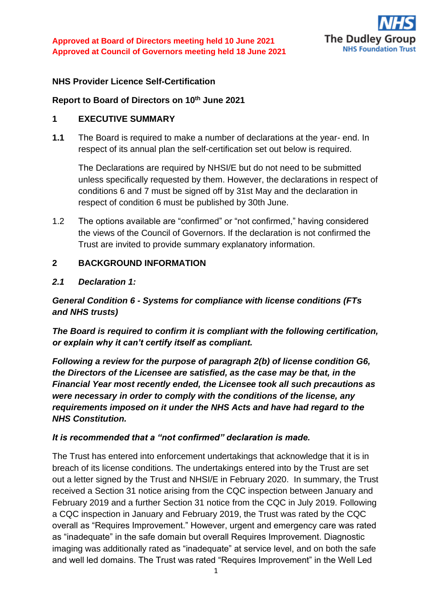

#### **NHS Provider Licence Self-Certification**

#### **Report to Board of Directors on 10 th June 2021**

#### **1 EXECUTIVE SUMMARY**

**1.1** The Board is required to make a number of declarations at the year- end. In respect of its annual plan the self-certification set out below is required.

The Declarations are required by NHSI/E but do not need to be submitted unless specifically requested by them. However, the declarations in respect of conditions 6 and 7 must be signed off by 31st May and the declaration in respect of condition 6 must be published by 30th June.

1.2 The options available are "confirmed" or "not confirmed," having considered the views of the Council of Governors. If the declaration is not confirmed the Trust are invited to provide summary explanatory information.

#### **2 BACKGROUND INFORMATION**

#### *2.1 Declaration 1:*

### *General Condition 6 - Systems for compliance with license conditions (FTs and NHS trusts)*

*The Board is required to confirm it is compliant with the following certification, or explain why it can't certify itself as compliant.*

*Following a review for the purpose of paragraph 2(b) of license condition G6, the Directors of the Licensee are satisfied, as the case may be that, in the Financial Year most recently ended, the Licensee took all such precautions as were necessary in order to comply with the conditions of the license, any requirements imposed on it under the NHS Acts and have had regard to the NHS Constitution.*

### *It is recommended that a "not confirmed" declaration is made.*

The Trust has entered into enforcement undertakings that acknowledge that it is in breach of its license conditions. The undertakings entered into by the Trust are set out a letter signed by the Trust and NHSI/E in February 2020. In summary, the Trust received a Section 31 notice arising from the CQC inspection between January and February 2019 and a further Section 31 notice from the CQC in July 2019. Following a CQC inspection in January and February 2019, the Trust was rated by the CQC overall as "Requires Improvement." However, urgent and emergency care was rated as "inadequate" in the safe domain but overall Requires Improvement. Diagnostic imaging was additionally rated as "inadequate" at service level, and on both the safe and well led domains. The Trust was rated "Requires Improvement" in the Well Led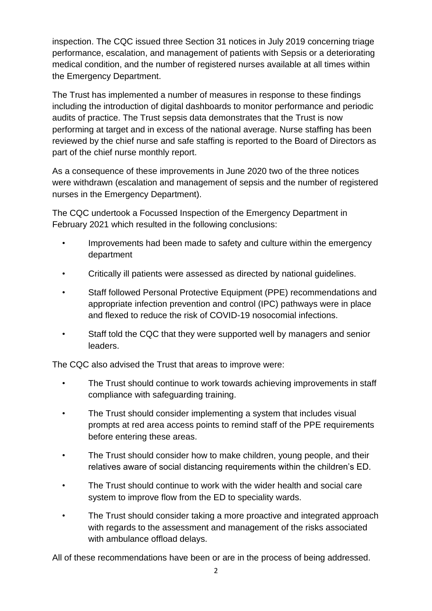inspection. The CQC issued three Section 31 notices in July 2019 concerning triage performance, escalation, and management of patients with Sepsis or a deteriorating medical condition, and the number of registered nurses available at all times within the Emergency Department.

The Trust has implemented a number of measures in response to these findings including the introduction of digital dashboards to monitor performance and periodic audits of practice. The Trust sepsis data demonstrates that the Trust is now performing at target and in excess of the national average. Nurse staffing has been reviewed by the chief nurse and safe staffing is reported to the Board of Directors as part of the chief nurse monthly report.

As a consequence of these improvements in June 2020 two of the three notices were withdrawn (escalation and management of sepsis and the number of registered nurses in the Emergency Department).

The CQC undertook a Focussed Inspection of the Emergency Department in February 2021 which resulted in the following conclusions:

- Improvements had been made to safety and culture within the emergency department
- Critically ill patients were assessed as directed by national guidelines.
- Staff followed Personal Protective Equipment (PPE) recommendations and appropriate infection prevention and control (IPC) pathways were in place and flexed to reduce the risk of COVID-19 nosocomial infections.
- Staff told the CQC that they were supported well by managers and senior leaders.

The CQC also advised the Trust that areas to improve were:

- The Trust should continue to work towards achieving improvements in staff compliance with safeguarding training.
- The Trust should consider implementing a system that includes visual prompts at red area access points to remind staff of the PPE requirements before entering these areas.
- The Trust should consider how to make children, young people, and their relatives aware of social distancing requirements within the children's ED.
- The Trust should continue to work with the wider health and social care system to improve flow from the ED to speciality wards.
- The Trust should consider taking a more proactive and integrated approach with regards to the assessment and management of the risks associated with ambulance offload delays.

All of these recommendations have been or are in the process of being addressed.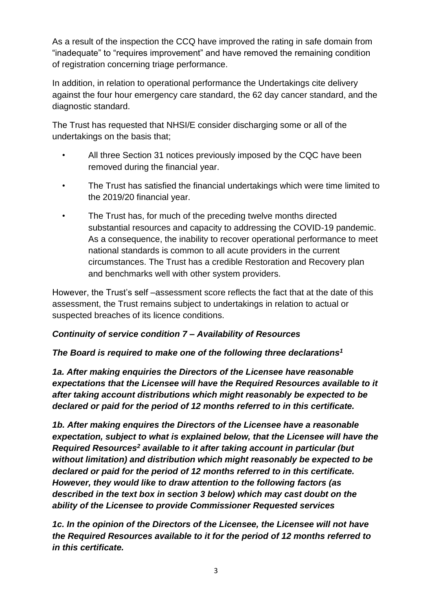As a result of the inspection the CCQ have improved the rating in safe domain from "inadequate" to "requires improvement" and have removed the remaining condition of registration concerning triage performance.

In addition, in relation to operational performance the Undertakings cite delivery against the four hour emergency care standard, the 62 day cancer standard, and the diagnostic standard.

The Trust has requested that NHSI/E consider discharging some or all of the undertakings on the basis that;

- All three Section 31 notices previously imposed by the CQC have been removed during the financial year.
- The Trust has satisfied the financial undertakings which were time limited to the 2019/20 financial year.
- The Trust has, for much of the preceding twelve months directed substantial resources and capacity to addressing the COVID-19 pandemic. As a consequence, the inability to recover operational performance to meet national standards is common to all acute providers in the current circumstances. The Trust has a credible Restoration and Recovery plan and benchmarks well with other system providers.

However, the Trust's self –assessment score reflects the fact that at the date of this assessment, the Trust remains subject to undertakings in relation to actual or suspected breaches of its licence conditions.

### *Continuity of service condition 7 – Availability of Resources*

### *The Board is required to make one of the following three declarations<sup>1</sup>*

*1a. After making enquiries the Directors of the Licensee have reasonable expectations that the Licensee will have the Required Resources available to it after taking account distributions which might reasonably be expected to be declared or paid for the period of 12 months referred to in this certificate.*

*1b. After making enquires the Directors of the Licensee have a reasonable expectation, subject to what is explained below, that the Licensee will have the Required Resources<sup>2</sup> available to it after taking account in particular (but without limitation) and distribution which might reasonably be expected to be declared or paid for the period of 12 months referred to in this certificate. However, they would like to draw attention to the following factors (as described in the text box in section 3 below) which may cast doubt on the ability of the Licensee to provide Commissioner Requested services*

*1c. In the opinion of the Directors of the Licensee, the Licensee will not have the Required Resources available to it for the period of 12 months referred to in this certificate.*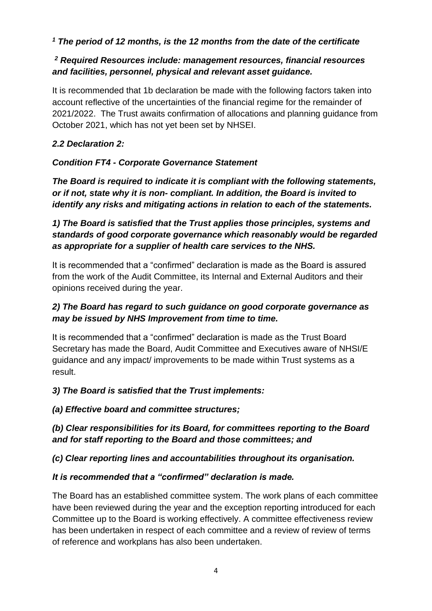### *<sup>1</sup> The period of 12 months, is the 12 months from the date of the certificate*

# *<sup>2</sup> Required Resources include: management resources, financial resources and facilities, personnel, physical and relevant asset guidance.*

It is recommended that 1b declaration be made with the following factors taken into account reflective of the uncertainties of the financial regime for the remainder of 2021/2022. The Trust awaits confirmation of allocations and planning guidance from October 2021, which has not yet been set by NHSEI.

# *2.2 Declaration 2:*

# *Condition FT4 - Corporate Governance Statement*

*The Board is required to indicate it is compliant with the following statements, or if not, state why it is non- compliant. In addition, the Board is invited to identify any risks and mitigating actions in relation to each of the statements.*

*1) The Board is satisfied that the Trust applies those principles, systems and standards of good corporate governance which reasonably would be regarded as appropriate for a supplier of health care services to the NHS.*

It is recommended that a "confirmed" declaration is made as the Board is assured from the work of the Audit Committee, its Internal and External Auditors and their opinions received during the year.

# *2) The Board has regard to such guidance on good corporate governance as may be issued by NHS Improvement from time to time.*

It is recommended that a "confirmed" declaration is made as the Trust Board Secretary has made the Board, Audit Committee and Executives aware of NHSI/E guidance and any impact/ improvements to be made within Trust systems as a result.

# *3) The Board is satisfied that the Trust implements:*

*(a) Effective board and committee structures;*

# *(b) Clear responsibilities for its Board, for committees reporting to the Board and for staff reporting to the Board and those committees; and*

# *(c) Clear reporting lines and accountabilities throughout its organisation.*

# *It is recommended that a "confirmed" declaration is made.*

The Board has an established committee system. The work plans of each committee have been reviewed during the year and the exception reporting introduced for each Committee up to the Board is working effectively. A committee effectiveness review has been undertaken in respect of each committee and a review of review of terms of reference and workplans has also been undertaken.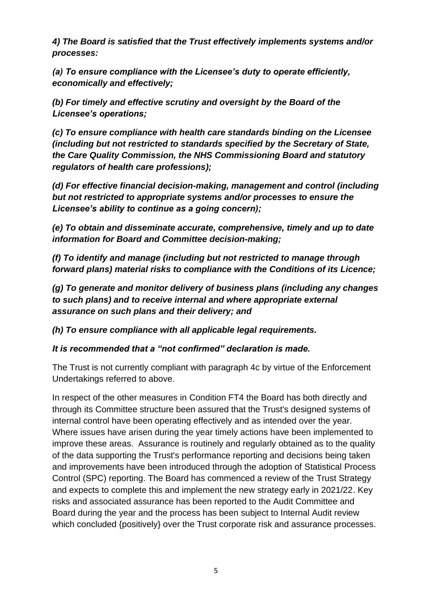*4) The Board is satisfied that the Trust effectively implements systems and/or processes:*

*(a) To ensure compliance with the Licensee's duty to operate efficiently, economically and effectively;*

*(b) For timely and effective scrutiny and oversight by the Board of the Licensee's operations;* 

*(c) To ensure compliance with health care standards binding on the Licensee (including but not restricted to standards specified by the Secretary of State, the Care Quality Commission, the NHS Commissioning Board and statutory regulators of health care professions);*

*(d) For effective financial decision-making, management and control (including but not restricted to appropriate systems and/or processes to ensure the Licensee's ability to continue as a going concern);* 

*(e) To obtain and disseminate accurate, comprehensive, timely and up to date information for Board and Committee decision-making;*

*(f) To identify and manage (including but not restricted to manage through forward plans) material risks to compliance with the Conditions of its Licence;*

*(g) To generate and monitor delivery of business plans (including any changes to such plans) and to receive internal and where appropriate external assurance on such plans and their delivery; and*

*(h) To ensure compliance with all applicable legal requirements.*

*It is recommended that a "not confirmed" declaration is made.*

The Trust is not currently compliant with paragraph 4c by virtue of the Enforcement Undertakings referred to above.

In respect of the other measures in Condition FT4 the Board has both directly and through its Committee structure been assured that the Trust's designed systems of internal control have been operating effectively and as intended over the year. Where issues have arisen during the year timely actions have been implemented to improve these areas. Assurance is routinely and regularly obtained as to the quality of the data supporting the Trust's performance reporting and decisions being taken and improvements have been introduced through the adoption of Statistical Process Control (SPC) reporting. The Board has commenced a review of the Trust Strategy and expects to complete this and implement the new strategy early in 2021/22. Key risks and associated assurance has been reported to the Audit Committee and Board during the year and the process has been subject to Internal Audit review which concluded {positively} over the Trust corporate risk and assurance processes.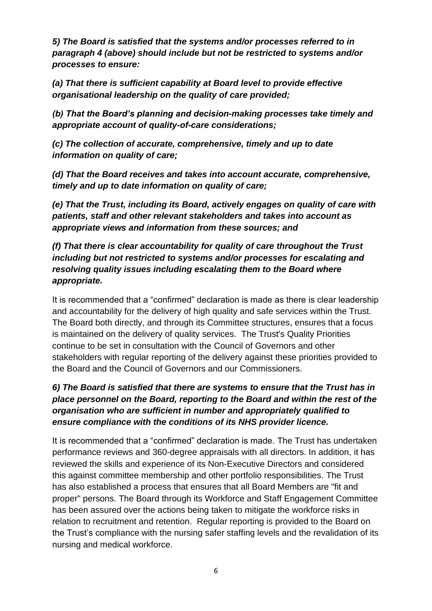*5) The Board is satisfied that the systems and/or processes referred to in paragraph 4 (above) should include but not be restricted to systems and/or processes to ensure:*

*(a) That there is sufficient capability at Board level to provide effective organisational leadership on the quality of care provided;* 

*(b) That the Board's planning and decision-making processes take timely and appropriate account of quality-of-care considerations;*

*(c) The collection of accurate, comprehensive, timely and up to date information on quality of care;*

*(d) That the Board receives and takes into account accurate, comprehensive, timely and up to date information on quality of care;*

*(e) That the Trust, including its Board, actively engages on quality of care with patients, staff and other relevant stakeholders and takes into account as appropriate views and information from these sources; and*

*(f) That there is clear accountability for quality of care throughout the Trust including but not restricted to systems and/or processes for escalating and resolving quality issues including escalating them to the Board where appropriate.*

It is recommended that a "confirmed" declaration is made as there is clear leadership and accountability for the delivery of high quality and safe services within the Trust. The Board both directly, and through its Committee structures, ensures that a focus is maintained on the delivery of quality services. The Trust's Quality Priorities continue to be set in consultation with the Council of Governors and other stakeholders with regular reporting of the delivery against these priorities provided to the Board and the Council of Governors and our Commissioners.

# *6) The Board is satisfied that there are systems to ensure that the Trust has in place personnel on the Board, reporting to the Board and within the rest of the organisation who are sufficient in number and appropriately qualified to ensure compliance with the conditions of its NHS provider licence.*

It is recommended that a "confirmed" declaration is made*.* The Trust has undertaken performance reviews and 360-degree appraisals with all directors. In addition, it has reviewed the skills and experience of its Non-Executive Directors and considered this against committee membership and other portfolio responsibilities. The Trust has also established a process that ensures that all Board Members are "fit and proper" persons. The Board through its Workforce and Staff Engagement Committee has been assured over the actions being taken to mitigate the workforce risks in relation to recruitment and retention. Regular reporting is provided to the Board on the Trust's compliance with the nursing safer staffing levels and the revalidation of its nursing and medical workforce.